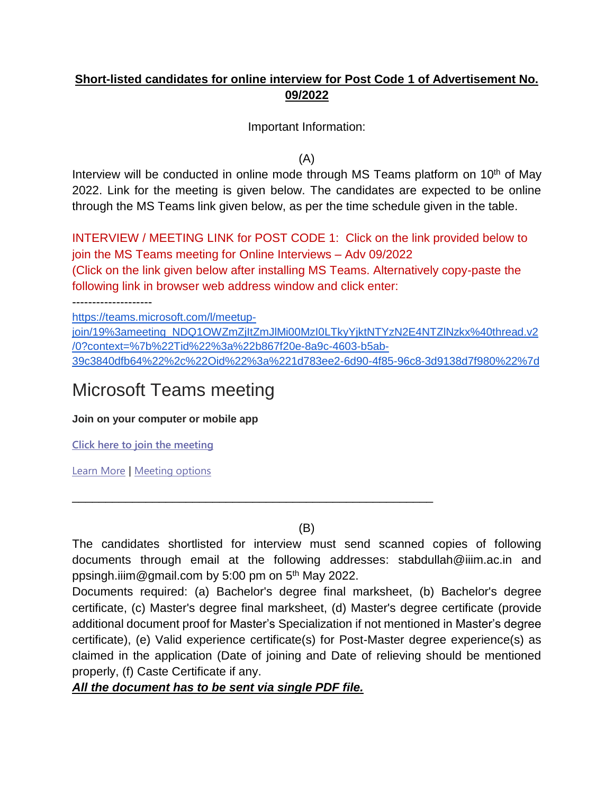# **Short-listed candidates for online interview for Post Code 1 of Advertisement No. 09/2022**

Important Information:

(A)

Interview will be conducted in online mode through MS Teams platform on  $10<sup>th</sup>$  of May 2022. Link for the meeting is given below. The candidates are expected to be online through the MS Teams link given below, as per the time schedule given in the table.

INTERVIEW / MEETING LINK for POST CODE 1: Click on the link provided below to join the MS Teams meeting for Online Interviews – Adv 09/2022

(Click on the link given below after installing MS Teams. Alternatively copy-paste the following link in browser web address window and click enter:

--------------------

[https://teams.microsoft.com/l/meetup-](https://teams.microsoft.com/l/meetup-join/19%3ameeting_NDQ1OWZmZjItZmJlMi00MzI0LTkyYjktNTYzN2E4NTZlNzkx%40thread.v2/0?context=%7b%22Tid%22%3a%22b867f20e-8a9c-4603-b5ab-39c3840dfb64%22%2c%22Oid%22%3a%221d783ee2-6d90-4f85-96c8-3d9138d7f980%22%7d)

join/19%3ameeting\_NDQ1OWZmZjltZmJlMi00MzI0LTkyYjktNTYzN2E4NTZlNzkx%40thread.v2 [/0?context=%7b%22Tid%22%3a%22b867f20e-8a9c-4603-b5ab-](https://teams.microsoft.com/l/meetup-join/19%3ameeting_NDQ1OWZmZjItZmJlMi00MzI0LTkyYjktNTYzN2E4NTZlNzkx%40thread.v2/0?context=%7b%22Tid%22%3a%22b867f20e-8a9c-4603-b5ab-39c3840dfb64%22%2c%22Oid%22%3a%221d783ee2-6d90-4f85-96c8-3d9138d7f980%22%7d)[39c3840dfb64%22%2c%22Oid%22%3a%221d783ee2-6d90-4f85-96c8-3d9138d7f980%22%7d](https://teams.microsoft.com/l/meetup-join/19%3ameeting_NDQ1OWZmZjItZmJlMi00MzI0LTkyYjktNTYzN2E4NTZlNzkx%40thread.v2/0?context=%7b%22Tid%22%3a%22b867f20e-8a9c-4603-b5ab-39c3840dfb64%22%2c%22Oid%22%3a%221d783ee2-6d90-4f85-96c8-3d9138d7f980%22%7d)

# Microsoft Teams meeting

**Join on your computer or mobile app**

**[Click here to join the meeting](https://teams.microsoft.com/l/meetup-join/19%3ameeting_NDQ1OWZmZjItZmJlMi00MzI0LTkyYjktNTYzN2E4NTZlNzkx%40thread.v2/0?context=%7b%22Tid%22%3a%22b867f20e-8a9c-4603-b5ab-39c3840dfb64%22%2c%22Oid%22%3a%221d783ee2-6d90-4f85-96c8-3d9138d7f980%22%7d)**

[Learn More](https://aka.ms/JoinTeamsMeeting) | [Meeting options](https://teams.microsoft.com/meetingOptions/?organizerId=1d783ee2-6d90-4f85-96c8-3d9138d7f980&tenantId=b867f20e-8a9c-4603-b5ab-39c3840dfb64&threadId=19_meeting_NDQ1OWZmZjItZmJlMi00MzI0LTkyYjktNTYzN2E4NTZlNzkx@thread.v2&messageId=0&language=en-US)

(B)

\_\_\_\_\_\_\_\_\_\_\_\_\_\_\_\_\_\_\_\_\_\_\_\_\_\_\_\_\_\_\_\_\_\_\_\_\_\_\_\_\_\_\_\_\_\_\_\_\_\_\_\_\_\_

The candidates shortlisted for interview must send scanned copies of following documents through email at the following addresses: stabdullah@iiim.ac.in and ppsingh.iiim@gmail.com by 5:00 pm on 5<sup>th</sup> May 2022.

Documents required: (a) Bachelor's degree final marksheet, (b) Bachelor's degree certificate, (c) Master's degree final marksheet, (d) Master's degree certificate (provide additional document proof for Master's Specialization if not mentioned in Master's degree certificate), (e) Valid experience certificate(s) for Post-Master degree experience(s) as claimed in the application (Date of joining and Date of relieving should be mentioned properly, (f) Caste Certificate if any.

*All the document has to be sent via single PDF file.*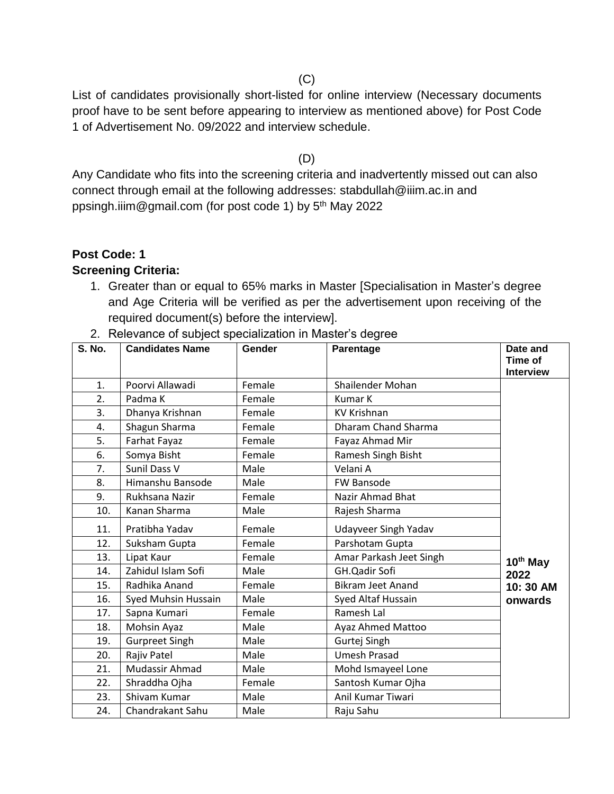$(C)$ 

List of candidates provisionally short-listed for online interview (Necessary documents proof have to be sent before appearing to interview as mentioned above) for Post Code 1 of Advertisement No. 09/2022 and interview schedule.

(D)

Any Candidate who fits into the screening criteria and inadvertently missed out can also connect through email at the following addresses: stabdullah@iiim.ac.in and ppsingh.iiim@gmail.com (for post code 1) by 5<sup>th</sup> May 2022

#### **Post Code: 1**

#### **Screening Criteria:**

- 1. Greater than or equal to 65% marks in Master [Specialisation in Master's degree and Age Criteria will be verified as per the advertisement upon receiving of the required document(s) before the interview].
- 2. Relevance of subject specialization in Master's degree

| <b>S. No.</b> | <b>Candidates Name</b> | Gender | Parentage                   | Date and<br>Time of<br><b>Interview</b> |
|---------------|------------------------|--------|-----------------------------|-----------------------------------------|
| 1.            | Poorvi Allawadi        | Female | Shailender Mohan            |                                         |
| 2.            | Padma K                | Female | <b>Kumar K</b>              |                                         |
| 3.            | Dhanya Krishnan        | Female | KV Krishnan                 |                                         |
| 4.            | Shagun Sharma          | Female | <b>Dharam Chand Sharma</b>  |                                         |
| 5.            | Farhat Fayaz           | Female | Fayaz Ahmad Mir             |                                         |
| 6.            | Somya Bisht            | Female | Ramesh Singh Bisht          |                                         |
| 7.            | Sunil Dass V           | Male   | Velani A                    |                                         |
| 8.            | Himanshu Bansode       | Male   | <b>FW Bansode</b>           |                                         |
| 9.            | Rukhsana Nazir         | Female | Nazir Ahmad Bhat            |                                         |
| 10.           | Kanan Sharma           | Male   | Rajesh Sharma               |                                         |
| 11.           | Pratibha Yadav         | Female | <b>Udayveer Singh Yadav</b> |                                         |
| 12.           | Suksham Gupta          | Female | Parshotam Gupta             |                                         |
| 13.           | Lipat Kaur             | Female | Amar Parkash Jeet Singh     | 10th May                                |
| 14.           | Zahidul Islam Sofi     | Male   | GH.Qadir Sofi               | 2022                                    |
| 15.           | Radhika Anand          | Female | <b>Bikram Jeet Anand</b>    | 10:30 AM                                |
| 16.           | Syed Muhsin Hussain    | Male   | Syed Altaf Hussain          | onwards                                 |
| 17.           | Sapna Kumari           | Female | Ramesh Lal                  |                                         |
| 18.           | Mohsin Ayaz            | Male   | Ayaz Ahmed Mattoo           |                                         |
| 19.           | <b>Gurpreet Singh</b>  | Male   | Gurtej Singh                |                                         |
| 20.           | Rajiv Patel            | Male   | <b>Umesh Prasad</b>         |                                         |
| 21.           | Mudassir Ahmad         | Male   | Mohd Ismayeel Lone          |                                         |
| 22.           | Shraddha Ojha          | Female | Santosh Kumar Ojha          |                                         |
| 23.           | Shivam Kumar           | Male   | Anil Kumar Tiwari           |                                         |
| 24.           | Chandrakant Sahu       | Male   | Raju Sahu                   |                                         |